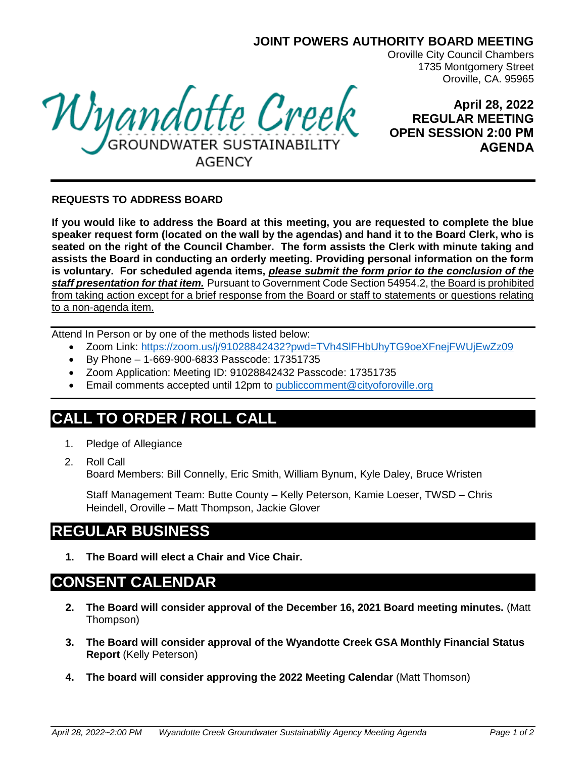### **JOINT POWERS AUTHORITY BOARD MEETING**

Oroville City Council Chambers 1735 Montgomery Street Oroville, CA. 95965

Wyandotte Creek AGENCY

**April 28, 2022 REGULAR MEETING OPEN SESSION 2:00 PM AGENDA**

#### **REQUESTS TO ADDRESS BOARD**

**If you would like to address the Board at this meeting, you are requested to complete the blue speaker request form (located on the wall by the agendas) and hand it to the Board Clerk, who is seated on the right of the Council Chamber. The form assists the Clerk with minute taking and assists the Board in conducting an orderly meeting. Providing personal information on the form is voluntary. For scheduled agenda items,** *please submit the form prior to the conclusion of the staff presentation for that item.* Pursuant to Government Code Section 54954.2, the Board is prohibited from taking action except for a brief response from the Board or staff to statements or questions relating to a non-agenda item.

Attend In Person or by one of the methods listed below:

- Zoom Link:<https://zoom.us/j/91028842432?pwd=TVh4SlFHbUhyTG9oeXFnejFWUjEwZz09>
- By Phone 1-669-900-6833 Passcode: 17351735
- Zoom Application: Meeting ID: 91028842432 Passcode: 17351735
- Email comments accepted until 12pm to [publiccomment@cityoforoville.org](mailto:publiccomment@cityoforoville.org)

# **CALL TO ORDER / ROLL CALL**

- 1. Pledge of Allegiance
- 2. Roll Call Board Members: Bill Connelly, Eric Smith, William Bynum, Kyle Daley, Bruce Wristen

Staff Management Team: Butte County – Kelly Peterson, Kamie Loeser, TWSD – Chris Heindell, Oroville – Matt Thompson, Jackie Glover

# **REGULAR BUSINESS**

**1. The Board will elect a Chair and Vice Chair.**

## **CONSENT CALENDAR**

- **2. The Board will consider approval of the December 16, 2021 Board meeting minutes.** (Matt Thompson)
- **3. The Board will consider approval of the Wyandotte Creek GSA Monthly Financial Status Report** (Kelly Peterson)
- **4. The board will consider approving the 2022 Meeting Calendar** (Matt Thomson)